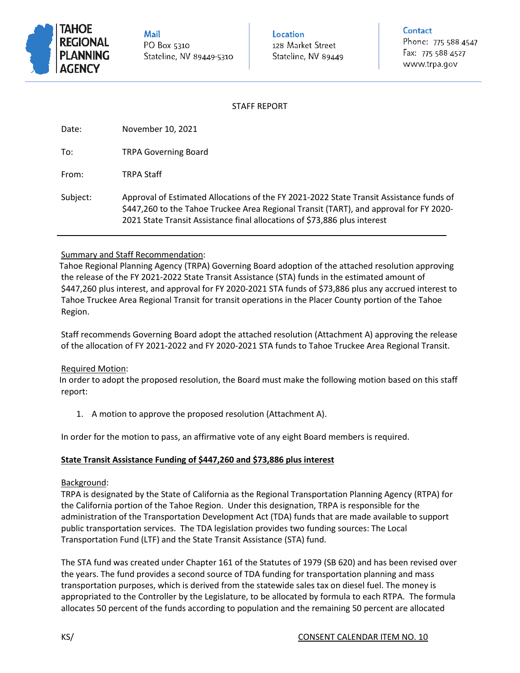

Mail PO Box 5310 Stateline, NV 89449-5310

**Location** 128 Market Street Stateline, NV 89449

## Contact

Phone: 775-588-4547 Fax: 775-588-4527 www.trpa.gov

### STAFF REPORT

Date: November 10, 2021

To: TRPA Governing Board

From: TRPA Staff

Subject: Approval of Estimated Allocations of the FY 2021-2022 State Transit Assistance funds of \$447,260 to the Tahoe Truckee Area Regional Transit (TART), and approval for FY 2020- 2021 State Transit Assistance final allocations of \$73,886 plus interest

## Summary and Staff Recommendation:

Tahoe Regional Planning Agency (TRPA) Governing Board adoption of the attached resolution approving the release of the FY 2021-2022 State Transit Assistance (STA) funds in the estimated amount of \$447,260 plus interest, and approval for FY 2020-2021 STA funds of \$73,886 plus any accrued interest to Tahoe Truckee Area Regional Transit for transit operations in the Placer County portion of the Tahoe Region.

Staff recommends Governing Board adopt the attached resolution (Attachment A) approving the release of the allocation of FY 2021-2022 and FY 2020-2021 STA funds to Tahoe Truckee Area Regional Transit.

#### Required Motion:

In order to adopt the proposed resolution, the Board must make the following motion based on this staff report:

1. A motion to approve the proposed resolution (Attachment A).

In order for the motion to pass, an affirmative vote of any eight Board members is required.

#### **State Transit Assistance Funding of \$447,260 and \$73,886 plus interest**

#### Background:

TRPA is designated by the State of California as the Regional Transportation Planning Agency (RTPA) for the California portion of the Tahoe Region. Under this designation, TRPA is responsible for the administration of the Transportation Development Act (TDA) funds that are made available to support public transportation services. The TDA legislation provides two funding sources: The Local Transportation Fund (LTF) and the State Transit Assistance (STA) fund.

The STA fund was created under Chapter 161 of the Statutes of 1979 (SB 620) and has been revised over the years. The fund provides a second source of TDA funding for transportation planning and mass transportation purposes, which is derived from the statewide sales tax on diesel fuel. The money is appropriated to the Controller by the Legislature, to be allocated by formula to each RTPA. The formula allocates 50 percent of the funds according to population and the remaining 50 percent are allocated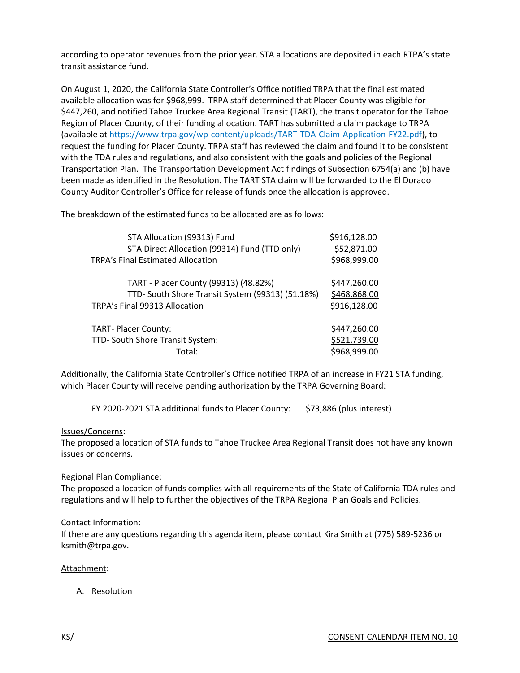according to operator revenues from the prior year. STA allocations are deposited in each RTPA's state transit assistance fund.

On August 1, 2020, the California State Controller's Office notified TRPA that the final estimated available allocation was for \$968,999. TRPA staff determined that Placer County was eligible for \$447,260, and notified Tahoe Truckee Area Regional Transit (TART), the transit operator for the Tahoe Region of Placer County, of their funding allocation. TART has submitted a claim package to TRPA (available at [https://www.trpa.gov/wp-content/uploads/TART-TDA-Claim-Application-FY22.pdf\)](https://www.trpa.gov/wp-content/uploads/TART-TDA-Claim-Application-FY22.pdf), to request the funding for Placer County. TRPA staff has reviewed the claim and found it to be consistent with the TDA rules and regulations, and also consistent with the goals and policies of the Regional Transportation Plan. The Transportation Development Act findings of Subsection 6754(a) and (b) have been made as identified in the Resolution. The TART STA claim will be forwarded to the El Dorado County Auditor Controller's Office for release of funds once the allocation is approved.

The breakdown of the estimated funds to be allocated are as follows:

| STA Allocation (99313) Fund                      | \$916,128.00 |
|--------------------------------------------------|--------------|
| STA Direct Allocation (99314) Fund (TTD only)    | \$52,871.00  |
| <b>TRPA's Final Estimated Allocation</b>         | \$968,999.00 |
| TART - Placer County (99313) (48.82%)            | \$447,260.00 |
| TTD- South Shore Transit System (99313) (51.18%) | \$468,868.00 |
| TRPA's Final 99313 Allocation                    | \$916,128.00 |
| <b>TART-Placer County:</b>                       | \$447,260.00 |
| TTD- South Shore Transit System:                 | \$521,739.00 |
| Total:                                           | \$968,999.00 |

Additionally, the California State Controller's Office notified TRPA of an increase in FY21 STA funding, which Placer County will receive pending authorization by the TRPA Governing Board:

FY 2020-2021 STA additional funds to Placer County: \$73,886 (plus interest)

#### Issues/Concerns:

The proposed allocation of STA funds to Tahoe Truckee Area Regional Transit does not have any known issues or concerns.

#### Regional Plan Compliance:

The proposed allocation of funds complies with all requirements of the State of California TDA rules and regulations and will help to further the objectives of the TRPA Regional Plan Goals and Policies.

#### Contact Information:

If there are any questions regarding this agenda item, please contact Kira Smith at (775) 589-5236 or ksmith@trpa.gov.

#### Attachment:

A. Resolution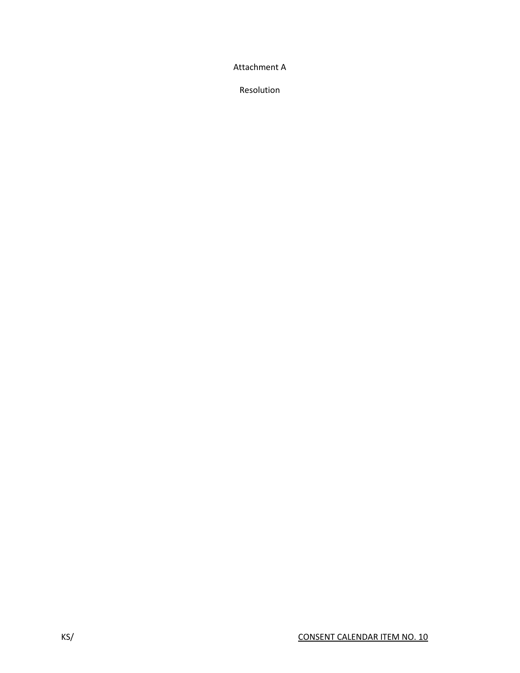Attachment A

Resolution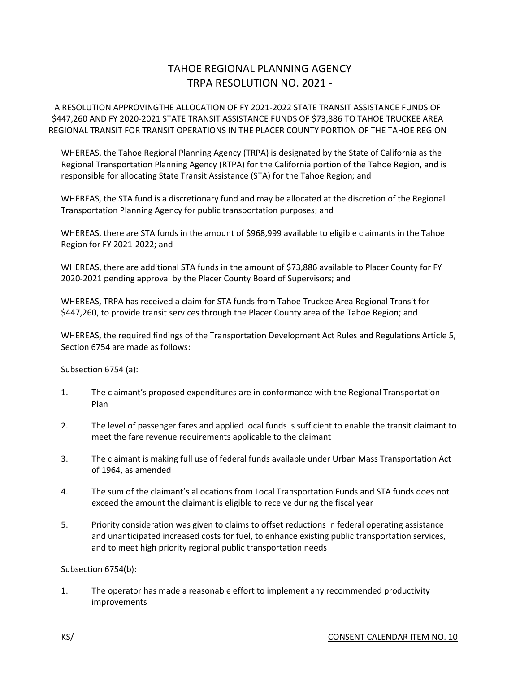# TAHOE REGIONAL PLANNING AGENCY TRPA RESOLUTION NO. 2021 -

A RESOLUTION APPROVINGTHE ALLOCATION OF FY 2021-2022 STATE TRANSIT ASSISTANCE FUNDS OF \$447,260 AND FY 2020-2021 STATE TRANSIT ASSISTANCE FUNDS OF \$73,886 TO TAHOE TRUCKEE AREA REGIONAL TRANSIT FOR TRANSIT OPERATIONS IN THE PLACER COUNTY PORTION OF THE TAHOE REGION

WHEREAS, the Tahoe Regional Planning Agency (TRPA) is designated by the State of California as the Regional Transportation Planning Agency (RTPA) for the California portion of the Tahoe Region, and is responsible for allocating State Transit Assistance (STA) for the Tahoe Region; and

WHEREAS, the STA fund is a discretionary fund and may be allocated at the discretion of the Regional Transportation Planning Agency for public transportation purposes; and

WHEREAS, there are STA funds in the amount of \$968,999 available to eligible claimants in the Tahoe Region for FY 2021-2022; and

WHEREAS, there are additional STA funds in the amount of \$73,886 available to Placer County for FY 2020-2021 pending approval by the Placer County Board of Supervisors; and

WHEREAS, TRPA has received a claim for STA funds from Tahoe Truckee Area Regional Transit for \$447,260, to provide transit services through the Placer County area of the Tahoe Region; and

WHEREAS, the required findings of the Transportation Development Act Rules and Regulations Article 5, Section 6754 are made as follows:

Subsection 6754 (a):

- 1. The claimant's proposed expenditures are in conformance with the Regional Transportation Plan
- 2. The level of passenger fares and applied local funds is sufficient to enable the transit claimant to meet the fare revenue requirements applicable to the claimant
- 3. The claimant is making full use of federal funds available under Urban Mass Transportation Act of 1964, as amended
- 4. The sum of the claimant's allocations from Local Transportation Funds and STA funds does not exceed the amount the claimant is eligible to receive during the fiscal year
- 5. Priority consideration was given to claims to offset reductions in federal operating assistance and unanticipated increased costs for fuel, to enhance existing public transportation services, and to meet high priority regional public transportation needs

Subsection 6754(b):

1. The operator has made a reasonable effort to implement any recommended productivity improvements